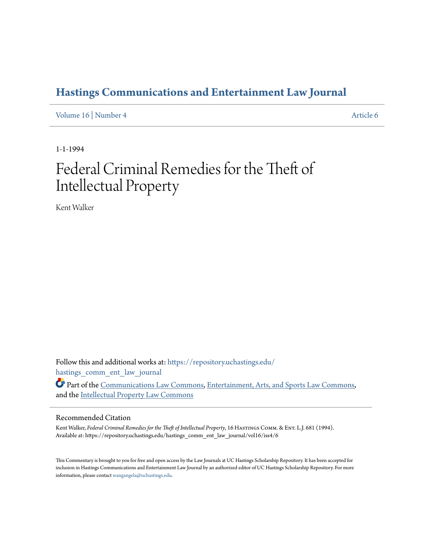# **[Hastings Communications and Entertainment Law Journal](https://repository.uchastings.edu/hastings_comm_ent_law_journal?utm_source=repository.uchastings.edu%2Fhastings_comm_ent_law_journal%2Fvol16%2Fiss4%2F6&utm_medium=PDF&utm_campaign=PDFCoverPages)**

[Volume 16](https://repository.uchastings.edu/hastings_comm_ent_law_journal/vol16?utm_source=repository.uchastings.edu%2Fhastings_comm_ent_law_journal%2Fvol16%2Fiss4%2F6&utm_medium=PDF&utm_campaign=PDFCoverPages) | [Number 4](https://repository.uchastings.edu/hastings_comm_ent_law_journal/vol16/iss4?utm_source=repository.uchastings.edu%2Fhastings_comm_ent_law_journal%2Fvol16%2Fiss4%2F6&utm_medium=PDF&utm_campaign=PDFCoverPages) [Article 6](https://repository.uchastings.edu/hastings_comm_ent_law_journal/vol16/iss4/6?utm_source=repository.uchastings.edu%2Fhastings_comm_ent_law_journal%2Fvol16%2Fiss4%2F6&utm_medium=PDF&utm_campaign=PDFCoverPages)

1-1-1994

# Federal Criminal Remedies for the Theft of Intellectual Property

Kent Walker

Follow this and additional works at: [https://repository.uchastings.edu/](https://repository.uchastings.edu/hastings_comm_ent_law_journal?utm_source=repository.uchastings.edu%2Fhastings_comm_ent_law_journal%2Fvol16%2Fiss4%2F6&utm_medium=PDF&utm_campaign=PDFCoverPages) [hastings\\_comm\\_ent\\_law\\_journal](https://repository.uchastings.edu/hastings_comm_ent_law_journal?utm_source=repository.uchastings.edu%2Fhastings_comm_ent_law_journal%2Fvol16%2Fiss4%2F6&utm_medium=PDF&utm_campaign=PDFCoverPages)

Part of the [Communications Law Commons,](http://network.bepress.com/hgg/discipline/587?utm_source=repository.uchastings.edu%2Fhastings_comm_ent_law_journal%2Fvol16%2Fiss4%2F6&utm_medium=PDF&utm_campaign=PDFCoverPages) [Entertainment, Arts, and Sports Law Commons,](http://network.bepress.com/hgg/discipline/893?utm_source=repository.uchastings.edu%2Fhastings_comm_ent_law_journal%2Fvol16%2Fiss4%2F6&utm_medium=PDF&utm_campaign=PDFCoverPages) and the [Intellectual Property Law Commons](http://network.bepress.com/hgg/discipline/896?utm_source=repository.uchastings.edu%2Fhastings_comm_ent_law_journal%2Fvol16%2Fiss4%2F6&utm_medium=PDF&utm_campaign=PDFCoverPages)

### Recommended Citation

Kent Walker, *Federal Criminal Remedies for the Theft of Intellectual Property*, 16 HASTINGS COMM. & ENT. L.J. 681 (1994). Available at: https://repository.uchastings.edu/hastings\_comm\_ent\_law\_journal/vol16/iss4/6

This Commentary is brought to you for free and open access by the Law Journals at UC Hastings Scholarship Repository. It has been accepted for inclusion in Hastings Communications and Entertainment Law Journal by an authorized editor of UC Hastings Scholarship Repository. For more information, please contact [wangangela@uchastings.edu](mailto:wangangela@uchastings.edu).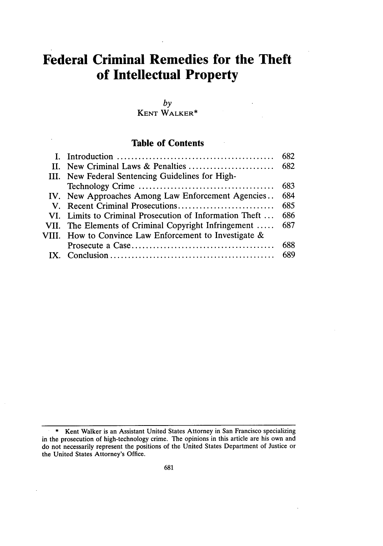# **Federal Criminal Remedies for the Theft of Intellectual Property**

*by* KENT WALKER\*

# **Table of Contents**

|                                                         | 682  |
|---------------------------------------------------------|------|
|                                                         | 682  |
| III. New Federal Sentencing Guidelines for High-        |      |
|                                                         | 683  |
| IV. New Approaches Among Law Enforcement Agencies       | 684  |
|                                                         | 685  |
| VI. Limits to Criminal Prosecution of Information Theft | 686  |
| VII. The Elements of Criminal Copyright Infringement    | 687  |
| VIII. How to Convince Law Enforcement to Investigate &  |      |
|                                                         | 688  |
|                                                         | -689 |

<sup>\*</sup> Kent Walker is an Assistant United States Attorney in San Francisco specializing in the prosecution of high-technology crime. The opinions in this article are his own and do not necessarily represent the positions of the United States Department of Justice or the United States Attorney's Office.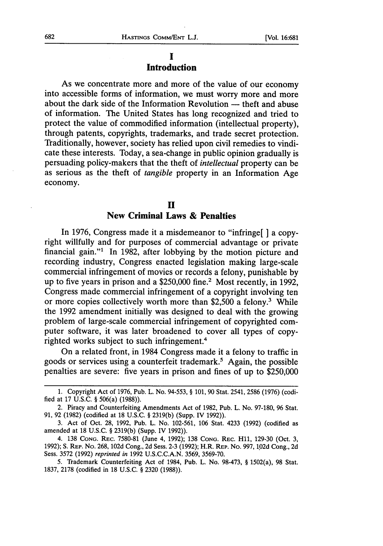#### **I Introduction**

As we concentrate more and more of the value of our economy into accessible forms of information, we must worry more and more about the dark side of the Information Revolution — theft and abuse of information. The United States has long recognized and tried to protect the value of commodified information (intellectual property), through patents, copyrights, trademarks, and trade secret protection. Traditionally, however, society has relied upon civil remedies to vindicate these interests. Today, a sea-change in public opinion gradually is persuading policy-makers that the theft of *intellectual* property can be as serious as the theft of *tangible* property in an Information Age economy.

# **H**

#### New **Criminal Laws & Penalties**

In 1976, Congress made it a misdemeanor to "infringe" a copyright willfully and for purposes of commercial advantage or private financial gain."1 In 1982, after lobbying by the motion picture and recording industry, Congress enacted legislation making large-scale commercial infringement of movies or records a felony, punishable by up to five years in prison and a \$250,000 fine.2 Most recently, in 1992, Congress made commercial infringement of a copyright involving ten or more copies collectively worth more than \$2,500 a felony.<sup>3</sup> While the 1992 amendment initially was designed to deal with the growing problem of large-scale commercial infringement of copyrighted computer software, it was later broadened to cover all types of copyrighted works subject to such infringement.<sup>4</sup>

On a related front, in 1984 Congress made it a felony to traffic in goods or services using a counterfeit trademark.5 Again, the possible penalties are severe: five years in prison and fines of up to \$250,000

<sup>1.</sup> Copyright Act of 1976, Pub. L. No. 94-553, § 101, 90 Stat. 2541, 2586 (1976) (codified at 17 U.S.C. § 506(a) (1988)).

<sup>2.</sup> Piracy and Counterfeiting Amendments Act of 1982, Pub. L. No. 97-180, 96 Stat. 91, 92 (1982) (codified at 18 U.S.C. § 2319(b) (Supp. IV 1992)).

<sup>3.</sup> Act of Oct. 28, 1992, Pub. L. No. 102-561, 106 Stat. 4233 (1992) (codified as amended at 18 U.S.C. § 2319(b) (Supp. IV 1992)).

<sup>4. 138</sup> **CONG.** REC. 7580-81 (June 4, 1992); 138 **CONG.** REC. H1l, 129-30 (Oct. 3, 1992); **S.** REP. No. 268, 102d Cong., 2d Sess. 2-3 (1992); H.R. REP. No. 997, 102d Cong., 2d Sess. 3572 (1992) *reprinted in* 1992 U.S.C.C.A.N. 3569, 3569-70.

<sup>5.</sup> Trademark Counterfeiting Act of 1984, Pub. L. No. 98-473, § 1502(a), 98 Stat. 1837, 2178 (codified in 18 U.S.C. § 2320 (1988)).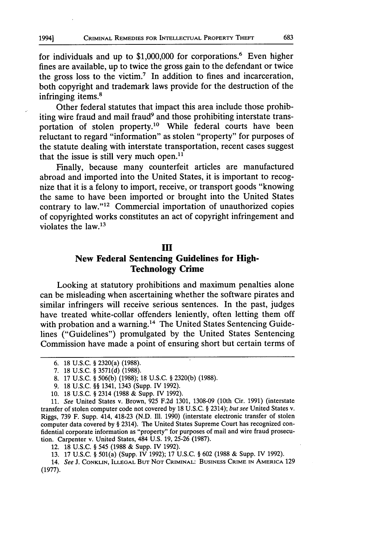for individuals and up to  $$1,000,000$  for corporations.<sup>6</sup> Even higher fines are available, up to twice the gross gain to the defendant or twice the gross loss to the victim.7 In addition to fines and incarceration, both copyright and trademark laws provide for the destruction of the infringing items.<sup>8</sup>

Other federal statutes that impact this area include those prohibiting wire fraud and mail fraud<sup>9</sup> and those prohibiting interstate transportation of stolen property.10 While federal courts have been reluctant to regard "information" as stolen "property" for purposes of the statute dealing with interstate transportation, recent cases suggest that the issue is still very much open. $11$ 

Finally, because many counterfeit articles are manufactured abroad and imported into the United States, it is important to recognize that it is a felony to import, receive, or transport goods "knowing the same to have been imported or brought into the United States contrary to law."<sup>12</sup> Commercial importation of unauthorized copies of copyrighted works constitutes an act of copyright infringement and violates the law.13

#### **HI**

# New **Federal Sentencing Guidelines for High-Technology Crime**

Looking at statutory prohibitions and maximum penalties alone can be misleading when ascertaining whether the software pirates and similar infringers will receive serious sentences. In the past, judges have treated white-collar offenders leniently, often letting them off with probation and a warning.<sup>14</sup> The United States Sentencing Guidelines ("Guidelines") promulgated by the United States Sentencing Commission have made a point of ensuring short but certain terms of

12. 18 U.S.C. § 545 (1988 & Supp. IV 1992).

13. 17 U.S.C. § 501(a) (Supp. IV 1992); 17 U.S.C. § 602 (1988 & Supp. IV 1992).

<sup>6. 18</sup> U.S.C. § 2320(a) (1988).

<sup>7. 18</sup> U.S.C. § 3571(d) (1988).

<sup>8. 17</sup> U.S.C. § 506(b) (1988); 18 U.S.C. § 2320(b) (1988).

<sup>9. 18</sup> U.S.C. §§ 1341, 1343 (Supp. IV 1992).

<sup>10. 18</sup> U.S.C. § 2314 (1988 & Supp. IV 1992).

<sup>11.</sup> See United States v. Brown, 925 F.2d 1301, 1308-09 (10th Cir. 1991) (interstate transfer of stolen computer code not covered by 18 U.S.C. § 2314); but see United States v. Riggs, 739 F. Supp. 414, 418-23 (N.D. **I11.** 1990) (interstate electronic transfer of stolen computer data covered by § 2314). The United States Supreme Court has recognized confidential corporate information as "property" for purposes of mail and wire fraud prosecution. Carpenter v. United States, 484 U.S. 19, 25-26 (1987).

<sup>14.</sup> See J. **CONKLIN, ILLEGAL BUT NOT** CRIMINAL: **BUSINESS** CRIME **IN** AMERICA 129 (1977).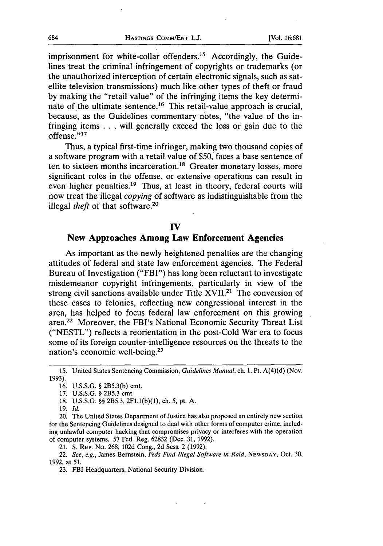imprisonment for white-collar offenders.<sup>15</sup> Accordingly, the Guidelines treat the criminal infringement of copyrights or trademarks (or the unauthorized interception of certain electronic signals, such as satellite television transmissions) much like other types of theft or fraud by making the "retail value" of the infringing items the key determinate of the ultimate sentence.<sup>16</sup> This retail-value approach is crucial, because, as the Guidelines commentary notes, "the value of the infringing items .. .will generally exceed the loss or gain due to the offense.' 17

Thus, a typical first-time infringer, making two thousand copies of a software program with a retail value of \$50, faces a base sentence of ten to sixteen months incarceration.<sup>18</sup> Greater monetary losses, more significant roles in the offense, or extensive operations can result in even higher penalties.<sup>19</sup> Thus, at least in theory, federal courts will now treat the illegal *copying* of software as indistinguishable from the illegal *theft* of that software.<sup>20</sup>

#### **IV**

#### New **Approaches Among Law Enforcement Agencies**

As important as the newly heightened penalties are the changing attitudes of federal and state law enforcement agencies. The Federal Bureau of Investigation ("FBI") has long been reluctant to investigate misdemeanor copyright infringements, particularly in view of the strong civil sanctions available under Title XVII.<sup>21</sup> The conversion of these cases to felonies, reflecting new congressional interest in the area, has helped to focus federal law enforcement on this growing area.22 Moreover, the FBI's National Economic Security Threat List ("NESTL") reflects a reorientation in the post-Cold War era to focus some of its foreign counter-intelligence resources on the threats to the nation's economic well-being.23

19. *Id.*

*<sup>15.</sup>* United States Sentencing Commission, *Guidelines Manual,* ch. **1,** Pt. A(4)(d) (Nov. 1993).

<sup>16.</sup> U.S.S.G. § 2B5.3(b) cmt.

<sup>17.</sup> U.S.S.G. § 2B5.3 cmt.

<sup>18.</sup> U.S.S.G. §§ 2B5.3, 2F1.1(b)(1), ch. 5, pt. A.

<sup>20.</sup> The United States Department of Justice has also proposed an entirely new section for the Sentencing Guidelines designed to deal with other forms of computer crime, including unlawful computer hacking that compromises privacy or interferes with the operation of computer systems. 57 Fed. Reg. 62832 (Dec. 31, 1992).

<sup>21.</sup> **S.** REP. No. 268, 102d Cong., 2d Sess. 2 (1992).

<sup>22.</sup> *See, e.g.,* James Bernstein, *Feds Find Illegal Software in Raid,* **NEWSDAY,** Oct. 30, 1992, at 51.

<sup>23.</sup> FBI Headquarters, National Security Division.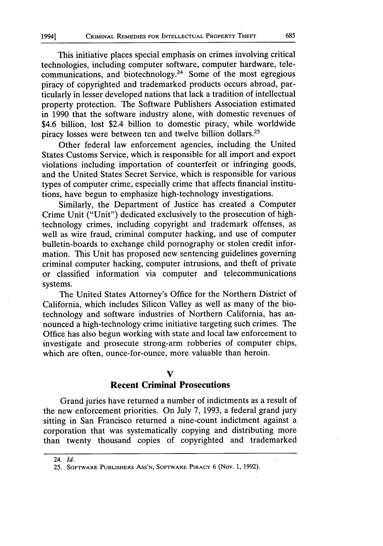This initiative places special emphasis on crimes involving critical technologies, including computer software, computer hardware, telecommunications, and biotechnology.24 Some of the most egregious piracy of copyrighted and trademarked products occurs abroad, particularly in lesser developed nations that lack a tradition of intellectual property protection. The Software Publishers Association estimated in 1990 that the software industry alone, with domestic revenues of \$4.6 billion, lost \$2.4 billion to domestic piracy, while worldwide piracy losses were between ten and twelve billion dollars.25

Other federal law enforcement agencies, including the United States Customs Service, which is responsible for all import and export violations including importation of counterfeit or infringing goods, and the United States Secret Service, which is responsible for various types of computer crime, especially crime that affects financial institutions, have begun to emphasize high-technology investigations.

Similarly, the Department of Justice has created a Computer Crime Unit ("Unit") dedicated exclusively to the prosecution of hightechnology crimes, including copyright and trademark offenses, as well as wire fraud, criminal computer hacking, and use of computer bulletin-boards to exchange child pornography or stolen credit information. This Unit has proposed new sentencing guidelines governing criminal computer hacking, computer intrusions, and theft of private or classified information via computer and telecommunications systems.

The United States Attorney's Office for the Northern District of California, which includes Silicon Valley as well as many of the biotechnology and software industries of Northern California, has announced a high-technology crime initiative targeting such crimes. The Office has also begun working with state and local law enforcement to investigate and prosecute strong-arm robberies of computer chips, which are often, ounce-for-ounce, more valuable than heroin.

#### **V**

#### **Recent Criminal Prosecutions**

Grand juries have returned a number of indictments as a result of the new enforcement priorities. On July 7, 1993, a federal grand jury sitting in San Francisco returned a nine-count indictment against a corporation that was systematically copying and distributing more than twenty thousand copies of copyrighted and trademarked

<sup>24.</sup> *Id.*

<sup>25.</sup> SOFTWARE PUBLISHERS **ASS'N,** SOFTWARE PIRACY 6 (Nov. 1, 1992).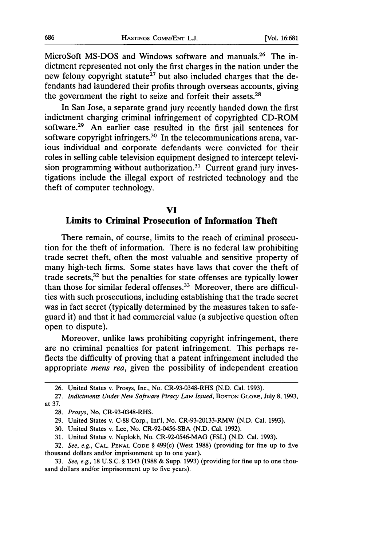MicroSoft MS-DOS and Windows software and manuals.<sup>26</sup> The indictment represented not only the first charges in the nation under the new felony copyright statute<sup>27</sup> but also included charges that the defendants had laundered their profits through overseas accounts, giving the government the right to seize and forfeit their assets.28

In San Jose, a separate grand jury recently handed down the first indictment charging criminal infringement of copyrighted CD-ROM software.<sup>29</sup> An earlier case resulted in the first jail sentences for software copyright infringers.<sup>30</sup> In the telecommunications arena, various individual and corporate defendants were convicted for their roles in selling cable television equipment designed to intercept television programming without authorization.<sup>31</sup> Current grand jury investigations include the illegal export of restricted technology and the theft of computer technology.

#### **VI**

#### **Limits to Criminal Prosecution of Information Theft**

There remain, of course, limits to the reach of criminal prosecution for the theft of information. There is no federal law prohibiting trade secret theft, often the most valuable and sensitive property of many high-tech firms. Some states have laws that cover the theft of trade secrets, 32 but the penalties for state offenses are typically lower than those for similar federal offenses.<sup>33</sup> Moreover, there are difficulties with such prosecutions, including establishing that the trade secret was in fact secret (typically determined by the measures taken to safeguard it) and that it had commercial value (a subjective question often open to dispute).

Moreover, unlike laws prohibiting copyright infringement, there are no criminal penalties for patent infringement. This perhaps reflects the difficulty of proving that a patent infringement included the appropriate *mens rea,* given the possibility of independent creation

<sup>26.</sup> United States v. Prosys, Inc., No. CR-93-0348-RHS (N.D. Cal. 1993).

<sup>27.</sup> *Indictments Under New Software Piracy Law Issued*, Boston GLOBE, July 8, 1993, at 37.

<sup>28.</sup> *Prosys,* No. CR-93-0348-RHS.

<sup>29.</sup> United States v. C-88 Corp., Int'l, No. CR-93-20133-RMW (N.D. Cal. 1993).

<sup>30.</sup> United States v. Lee, No. CR-92-0456-SBA (N.D. Cal. 1992).

<sup>31.</sup> United States v. Neplokh, No. CR-92-0546-MAG (FSL) (N.D. Cal. 1993).

<sup>32.</sup> *See, e.g.,* **CAL. PENAL CODE** § 499(c) (West 1988) (providing for fine up to five thousand dollars and/or imprisonment up to one year).

<sup>33.</sup> *See, e.g.,* 18 U.S.C. § 1343 (1988 & Supp. 1993) (providing for fine up to one thousand dollars and/or imprisonment up to five years).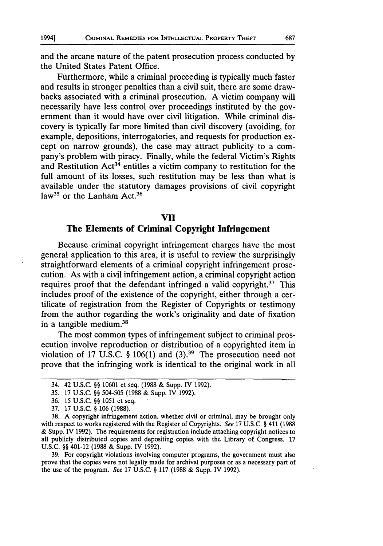and the arcane nature of the patent prosecution process conducted by the United States Patent Office.

Furthermore, while a criminal proceeding is typically much faster and results in stronger penalties than a civil suit, there are some drawbacks associated with a criminal prosecution. A victim company will necessarily have less control over proceedings instituted by the government than it would have over civil litigation. While criminal discovery is typically far more limited than civil discovery (avoiding, for example, depositions, interrogatories, and requests for production except on narrow grounds), the case may attract publicity to a company's problem with piracy. Finally, while the federal Victim's Rights and Restitution  $Act^{34}$  entitles a victim company to restitution for the full amount of its losses, such restitution may be less than what is available under the statutory damages provisions of civil copyright law<sup>35</sup> or the Lanham Act.<sup>36</sup>

#### **VII**

## **The Elements of Criminal Copyright Infringement**

Because criminal copyright infringement charges have the most general application to this area, it is useful to review the surprisingly straightforward elements of a criminal copyright infringement prosecution. As with a civil infringement action, a criminal copyright action requires proof that the defendant infringed a valid copyright.<sup>37</sup> This includes proof of the existence of the copyright, either through a certificate of registration from the Register of Copyrights or testimony from the author regarding the work's originality and date of fixation in a tangible medium.38

The most common types of infringement subject to criminal prosecution involve reproduction or distribution of a copyrighted item in violation of 17 U.S.C. § 106(1) and (3).<sup>39</sup> The prosecution need not prove that the infringing work is identical to the original work in all

39. For copyright violations involving computer programs, the government must also prove that the copies were not legally made for archival purposes or as a necessary part of the use of the program. See 17 U.S.C. § 117 (1988 & Supp. IV 1992).

<sup>34. 42</sup> U.S.C. §§ 10601 et seq. (1988 & Supp. IV 1992).

<sup>35. 17</sup> U.S.C. §§ 504-505 (1988 & Supp. IV 1992).

<sup>36. 15</sup> U.S.C. §§ 1051 et seq.

<sup>37. 17</sup> U.S.C. § 106 (1988).

<sup>38.</sup> A copyright infringement action, whether civil or criminal, may be brought only with respect to works registered with the Register of Copyrights. See 17 U.S.C. § 411 (1988) & Supp. IV 1992). The requirements for registration include attaching copyright notices to all publicly distributed copies and depositing copies with the Library of Congress. 17 U.S.C. §§ 401-12 (1988 & Supp. IV 1992).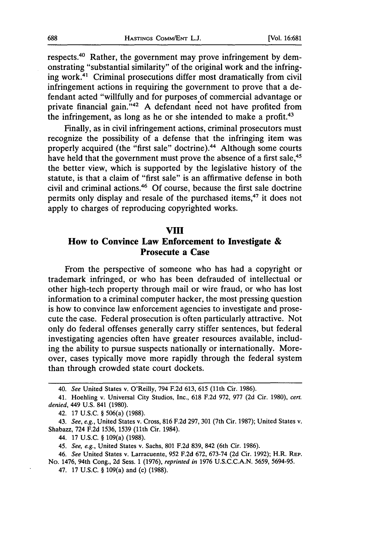respects.40 Rather, the government may prove infringement by demonstrating "substantial similarity" of the original work and the infringing work.4' Criminal prosecutions differ most dramatically from civil infringement actions in requiring the government to prove that a defendant acted "willfully and for purposes of commercial advantage or private financial gain. **"42** A defendant need not have profited from the infringement, as long as he or she intended to make a profit. $43$ 

Finally, as in civil infringement actions, criminal prosecutors must recognize the possibility of a defense that the infringing item was properly acquired (the "first sale" doctrine).<sup>44</sup> Although some courts have held that the government must prove the absence of a first sale,<sup>45</sup> the better view, which is supported by the legislative history of the statute, is that a claim of "first sale" is an affirmative defense in both civil and criminal actions.46 Of course, because the first sale doctrine permits only display and resale of the purchased items,<sup>47</sup> it does not apply to charges of reproducing copyrighted works.

#### **VIII**

## **How** to Convince Law Enforcement **to Investigate & Prosecute a Case**

From the perspective of someone who has had a copyright or trademark infringed, or who has been defrauded of intellectual or other high-tech property through mail or wire fraud, or who has lost information to a criminal computer hacker, the most pressing question is how to convince law enforcement agencies to investigate and prosecute the case. Federal prosecution is often particularly attractive. Not only do federal offenses generally carry stiffer sentences, but federal investigating agencies often have greater resources available, including the ability to pursue suspects nationally or internationally. Moreover, cases typically move more rapidly through the federal system than through crowded state court dockets.

<sup>40.</sup> *See* United States v. O'Reilly, 794 F.2d 613, 615 (11th Cir. 1986).

<sup>41.</sup> Hoehling v. Universal City Studios, Inc., 618 F.2d 972, 977 (2d Cir. 1980), *cert. denied,* 449 U.S. 841 (1980).

<sup>42.</sup> **17** U.S.C. § 506(a) (1988).

<sup>43.</sup> *See, e.g.,* United States v. Cross, 816 F.2d 297, 301 (7th Cir. 1987); United States v. Shabazz, 724 F.2d 1536, 1539 (11th Cir. 1984).

<sup>44. 17</sup> U.S.C. § 109(a) (1988).

<sup>45.</sup> *See, e.g.,* United States v. Sachs, 801 F.2d 839, 842 (6th Cir. 1986).

<sup>46.</sup> *See* United States v. Larracuente, 952 F.2d 672, 673-74 (2d Cir. 1992); H.R. REP. No. 1476, 94th Cong., 2d Sess. **1** (1976), *reprinted in* 1976 U.S.C.C.A.N. 5659, 5694-95.

<sup>47. 17</sup> U.S.C. § 109(a) and (c) (1988).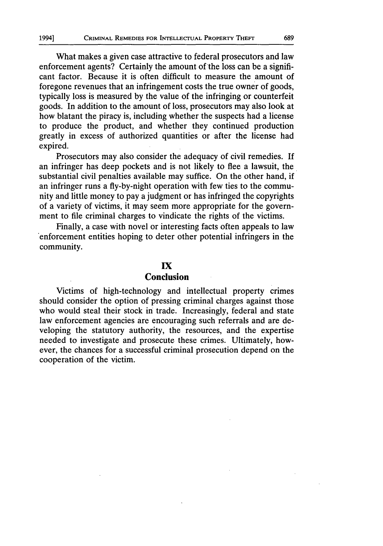What makes a given case attractive to federal prosecutors and law enforcement agents? Certainly the amount of the loss can be a significant factor. Because it is often difficult to measure the amount of foregone revenues that an infringement costs the true owner of goods, typically loss is measured by the value of the infringing or counterfeit goods. In addition to the amount of loss, prosecutors may also look at how blatant the piracy is, including whether the suspects had a license to produce the product, and whether they continued production greatly in excess of authorized quantities or after the license had expired.

Prosecutors may also consider the adequacy of civil remedies. If an infringer has deep pockets and is not likely to flee a lawsuit, the substantial civil penalties available may suffice. On the other hand, if an infringer runs a fly-by-night operation with few ties to the community and little money to pay a judgment or has infringed the copyrights of a variety of victims, it may seem more appropriate for the government to file criminal charges to vindicate the rights of the victims.

Finally, a case with novel or interesting facts often appeals to law enforcement entities hoping to deter other potential infringers in the community.

### **IX Conclusion**

Victims of high-technology and intellectual property crimes should consider the option of pressing criminal charges against those who would steal their stock in trade. Increasingly, federal and state law enforcement agencies are encouraging such referrals and are developing the statutory authority, the resources, and the expertise needed to investigate and prosecute these crimes. Ultimately, however, the chances for a successful criminal prosecution depend on the cooperation of the victim.